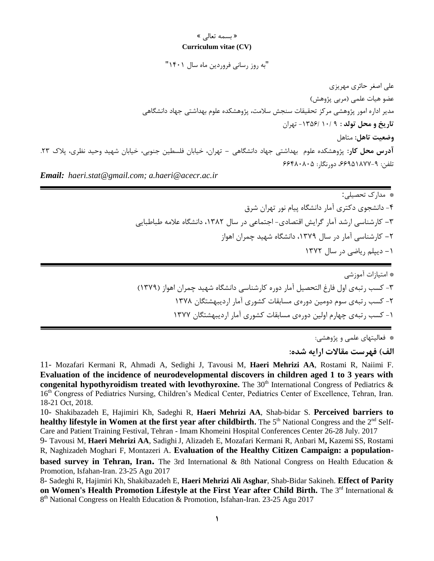» بسمه تعالی «

## **Curriculum vitae (CV)**

"به روز رسانی فروردین ماه سال 1401"

علی اصغر حائری مهریزی عضو هیات علمی )مربی پژوهش( مدیر اداره امور پژوهشی مرکز تحقیقات سنجش سالمت، پژوهشكده علوم بهداشتی جهاد دانشگاهی **تاریخ و محل تولد :** 9 10/ -1356/ تهران **وضعیت تاهل:** متاهل **آدرس محل كار:** پژوهشكده علوم بهداشتی جهاد دانشگاهی **-** تهران، خیابان فلسطین جنوبی، خیابان شهید وحید نظری، پالك .23 تلفن: ،66951877-9 دورنگار: 66480805 *Email: haeri.stat@gmail.com; a.haeri@acecr.ac.ir*

\* مدارك تحصیلی: -4 دانشجوی دکتری آمار دانشگاه پیام نور تهران شرق **-**3 کارشناسی ارشد آمار گرایش اقتصادی- اجتماعی در سال ،1382 دانشگاه عالمه طباطبایی **-**2 کارشناسی آمار در سال ،1379 دانشگاه شهید چمران اهواز **-**1 دیپلم ریاضی در سال 1372

\* امتیازات آموزشی -3 کسب رتبهی اول فارغ التحصیل آمار دوره کارشناسی دانشگاه شهید چمران اهواز )1379( -2 کسب رتبهی سوم دومین دورهی مسابقات کشوری آمار اردیبهشتگان 1378 -1 کسب رتبهی چهارم اولین دورهی مسابقات کشوری آمار اردیبهشتگان 1377

\* فعالیتهای علمی و پژوهشی:

**الف( فهرست مقاالت ارایه شده:** 

11- Mozafari Kermani R, Ahmadi A, Sedighi J, Tavousi M, **Haeri Mehrizi AA**, Rostami R, Naiimi F. **Evaluation of the incidence of neurodevelopmental discovers in children aged 1 to 3 years with congenital hypothyroidism treated with levothyroxine.** The  $30<sup>th</sup>$  International Congress of Pediatrics  $\&$ 16<sup>th</sup> Congress of Pediatrics Nursing, Children's Medical Center, Pediatrics Center of Excellence, Tehran, Iran. 18-21 Oct, 2018.

10- Shakibazadeh E, Hajimiri Kh, Sadeghi R, **Haeri Mehrizi AA**, Shab-bidar S. **Perceived barriers to healthy lifestyle in Women at the first year after childbirth. The 5<sup>th</sup> National Congress and the 2<sup>nd</sup> Self-**Care and Patient Training Festival, Tehran - Imam Khomeini Hospital Conferences Center 26-28 July. 2017

9- Tavousi M, **Haeri Mehrizi AA**, SadighiJ, Alizadeh E, Mozafari Kermani R, Anbari M**,** Kazemi SS, Rostami R, Naghizadeh Moghari F, Montazeri A. **Evaluation of the Healthy Citizen Campaign: a population-**

**based survey in Tehran, Iran.** The 3rd International & 8th National Congress on Health Education & Promotion, Isfahan-Iran. 23-25 Agu 2017

8- Sadeghi R, Hajimiri Kh, Shakibazadeh E, **Haeri Mehrizi Ali Asghar**, Shab-Bidar Sakineh. **Effect of Parity on Women's Health Promotion Lifestyle at the First Year after Child Birth.** The 3<sup>rd</sup> International & 8<sup>th</sup> National Congress on Health Education & Promotion, Isfahan-Iran. 23-25 Agu 2017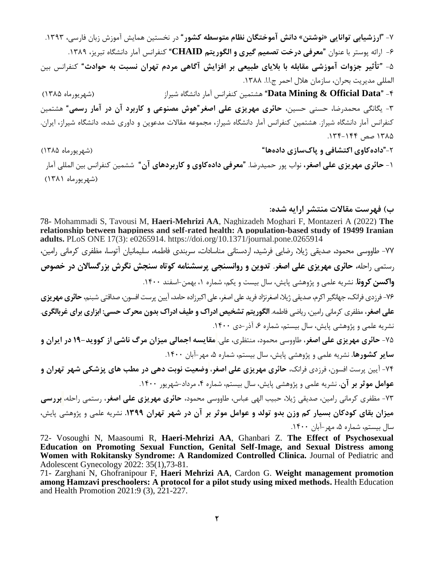-7 **"ارزشیابی توانایی »نوشتن« دانش آموختگان نظام متوسطه كشور**" در نخستین همایش آموزش زبان فارسی، .1393 -6 ارائه پوستر با عنوان "**معرفی درخت تصمیم گیری و الگوریتم CHAID** "کنفرانس آمار دانشگاه تبریز، .1389 -5 "**تأثیر جزوات آموزشی مقابله با بالیای طبیعی بر افزایش آگاهی مردم تهران نسبت به حوادث**" کنفرانس بین المللی مدیریت بحران، سازمان هلال احمر ج.ا.ا. ۱۳۸۸. -4 "**Data Official & Mining Data** "هشتمین کنفرانس آمار دانشگاه شیراز )شهریورماه 1385( -3 یگانگی محمدرضا، حسنی حسین، **حائری مهریزی علی اصغر"هوش مصنوعی و كاربرد آن در آمار رسمی"** هشتمین کنفرانس آمار دانشگاه شیراز. هشتمین کنفرانس آمار دانشگاه شیراز، مجموعه مقاالت مدعوین و داوری شده، دانشگاه شیراز، ایران. ۱۳۸۵ صص ۱۴۴-۱۳۴. -2"**دادهكاوی اكتشافی و پاکسازی دادهها**" )شهریورماه 1385( -1 **حائری مهریزی علی اصغر،** نواب پور حمیدرضا. **"معرفی دادهكاوی و كاربردهای آن"** ششمین کنفرانس بین المللی آمار )شهریورماه 1381(

## **ب( فهرست مقاالت منتشر ارایه شده:**

78- Mohammadi S, Tavousi M, **Haeri-Mehrizi AA**, Naghizadeh Moghari F, Montazeri A (2022) **The relationship between happiness and self-rated health: A population-based study of 19499 Iranian adults.** PLoS ONE 17(3): e0265914. https://doi.org/10.1371/journal.pone.0265914 -77 طاووسی محمود، صدیقی ژیال، رضایی فرشید، اردستانی مناسادات، سربندی فاطمه، سلیمانیان آتوسا، مظفری کرمانی رامین، رستمی راحله، **حائری مهریزی علی اصغر**. **تدوین و روانسنجی پرسشنامه كوتاه سنجش نگرش بزرگساالن در خصوص واكسن كرونا**. نشریه علمی و پژوهشی پایش، سال بیست و یكم، شماره ،1 بهمن-اسفند .1400 -76فرزدی فرانک، جهانگیر اکرم، صدیقی ژیال، اصغرنژاد فرید علی اصغر، علی اکبرزاده حامد، آیین پرست افسون، صداقتی شبنم، **حائری مهریزی علی اصغر**، مظفری کرمانی رامین، ریاضی فاطمه. **الگوریتم تشخیص ادراک و طیف ادراک بدون محرک حسی: ابزاری برای غربالگری**. نشریه علمی و پژوهشی پایش، سال بیستم، شماره ۶، آذر-دی ۱۴۰۰. -75 **حائری مهریزی علی اصغر**، طاووسی محمود، منتظری، علی. **مقایسه اجمالی میزان مرگ ناشی از كووید19- در ایران و سایر كشورها.** نشریه علمی و پژوهشی پایش، سال بیستم، شماره ۵، مهر-آبان ۱۴۰۰. -74 آیین پرست افسون، فرزدی فرانک، **حائری مهریزی علی اصغر**، **[وضعیت نوبت دهی در مطب های پزشکی شهر تهران](http://payeshjournal.ir/article-1-1383-fa.html&sw=%D8%B9%D9%84%DB%8C+%D8%A7%D8%B5%D8%BA%D8%B1+%D8%AD%D8%A7%D8%A6%D8%B1%DB%8C+%D9%85%D9%87%D8%B1%DB%8C%D8%B2%DB%8C) و [عوامل موثر بر آن.](http://payeshjournal.ir/article-1-1383-fa.html&sw=%D8%B9%D9%84%DB%8C+%D8%A7%D8%B5%D8%BA%D8%B1+%D8%AD%D8%A7%D8%A6%D8%B1%DB%8C+%D9%85%D9%87%D8%B1%DB%8C%D8%B2%DB%8C)** نشریه علمی و پژوهشی پایش، سال بیستم، شماره ،4 مرداد-شهریور .1400 -73 مظفری کرمانی رامین، صدیقی ژیال، حبیب الهی عباس، طاووسی محمود، **حائری مهریزی علی اصغر**، رستمی راحله، **[بررسی](https://payeshjournal.ir/article-1-1635-fa.html&sw=%D8%AD%D8%A7%D8%A6%D8%B1%DB%8C+%D9%85%D9%87%D8%B1%DB%8C%D8%B2%DB%8C)  [میزان بقای كودكان بسیار كم وزن بدو تولد و عوامل موثر بر آن](https://payeshjournal.ir/article-1-1635-fa.html&sw=%D8%AD%D8%A7%D8%A6%D8%B1%DB%8C+%D9%85%D9%87%D8%B1%DB%8C%D8%B2%DB%8C) در شهر تهران .1399** نشریه علمی و پژوهشی پایش، سال بیستم، شماره ۵، مهر-آبان ۱۴۰۰.

72- Vosoughi N, Maasoumi R, **Haeri-Mehrizi AA**, Ghanbari Z. **The Effect of Psychosexual Education on Promoting Sexual Function, Genital Self-Image, and Sexual Distress among Women with Rokitansky Syndrome: A Randomized Controlled Clinica.** Journal of Pediatric and Adolescent Gynecology 2022: 35(1),73-81.

71- Zarghani N, Ghofranipour F, **Haeri Mehrizi AA**, Cardon G. **[Weight management promotion](https://scholar.google.com/citations?view_op=view_citation&hl=en&user=hghlsGZefDkC&sortby=pubdate&citation_for_view=hghlsGZefDkC:g5m5HwL7SMYC)  [among Hamzavi preschoolers: A protocol for a pilot study using mixed methods.](https://scholar.google.com/citations?view_op=view_citation&hl=en&user=hghlsGZefDkC&sortby=pubdate&citation_for_view=hghlsGZefDkC:g5m5HwL7SMYC)** Health Education and Health Promotion 2021:9 (3), 221-227.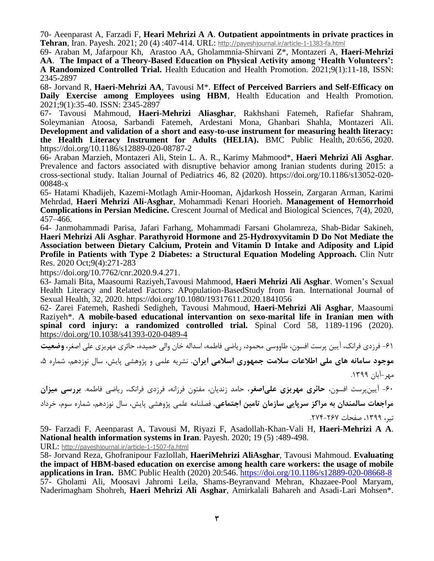70- Aeenparast A, Farzadi F, **Heari Mehrizi A A**. **Outpatient appointments in private practices in Tehran**, Iran. Payesh. 2021; 20 (4) :407-414. URL: <http://payeshjournal.ir/article-1-1383-fa.html>

69- Araban M, Jafarpour Kh, Arastoo AA, Gholammnia-Shirvani Z\*, Montazeri A, **Haeri-Mehrizi AA**. **The Impact of a Theory-Based Education on Physical Activity among 'Health Volunteers': A Randomized Controlled Trial.** Health Education and Health Promotion. 2021;9(1):11-18, ISSN: 2345-2897

68- Jorvand R, **Haeri-Mehrizi AA**, Tavousi M\*. **Effect of Perceived Barriers and Self-Efficacy on Daily Exercise among Employees using HBM**, Health Education and Health Promotion. 2021;9(1):35-40. ISSN: 2345-2897

67- Tavousi Mahmoud, **Haeri-Mehrizi Aliasghar**, Rakhshani Fatemeh, Rafiefar Shahram, Soleymanian Atoosa, Sarbandi Fatemeh, Ardestani Mona, Ghanbari Shahla, Montazeri Ali. **Development and validation of a short and easy-to-use instrument for measuring health literacy: the Health Literacy Instrument for Adults (HELIA).** [BMC Public Health,](https://bmcpublichealth.biomedcentral.com/) 20:656, 2020. <https://doi.org/10.1186/s12889-020-08787-2>

66- Araban Marzieh, Montazeri Ali, Stein L. A. R., Karimy Mahmood\*, **Haeri Mehrizi Ali Asghar**. Prevalence and factors associated with disruptive behavior among Iranian students during 2015: a cross-sectional study. Italian Journal of Pediatrics 46, 82 (2020). [https://doi.org/10.1186/s13052-020-](https://doi.org/10.1186/s13052-020-00848-x) [00848-x](https://doi.org/10.1186/s13052-020-00848-x)

65- Hatami Khadijeh, Kazemi-Motlagh Amir-Hooman, Ajdarkosh Hossein, Zargaran Arman, Karimi Mehrdad, **Haeri Mehrizi Ali-Asghar**, Mohammadi Kenari Hoorieh. **Management of Hemorrhoid Complications in Persian Medicine.** Crescent Journal of Medical and Biological Sciences, 7(4), 2020, 457–466.

64- Janmohammadi Parisa, Jafari Farhang, Mohammadi Farsani Gholamreza, Shab-Bidar Sakineh, **Haeri Mehrizi Ali Asghar**. **Parathyroid Hormone and 25-Hydroxyvitamin D Do Not Mediate the Association between Dietary Calcium, Protein and Vitamin D Intake and Adiposity and Lipid Profile in Patients with Type 2 Diabetes: a Structural Equation Modeling Approach.** Clin Nutr Res. 2020 Oct;9(4):271-283

[https://doi.org/10.7762/cnr.2020.9.4.271.](https://doi.org/10.7762/cnr.2020.9.4.271)

63- Jamali [Bita, M](https://www.tandfonline.com/author/Jamali%2C+Bita)aasoumi [Raziyeh,](https://www.tandfonline.com/author/Maasoumi%2C+Raziyeh)[Tavousi](https://www.tandfonline.com/author/Tavousi%2C+Mahmood) Mahmood, **Haeri Mehrizi Ali Asghar**. Women's Sexual Health Literacy and Related Factors: APopulation-BasedStudy from Iran. International Journal of Sexual Health, 32, 2020. https://doi.org/10.1080/19317611.2020.1841056

62- Zarei [Fatemeh,](https://www.nature.com/articles/s41393-020-0489-4#auth-Fatemeh-Zarei) [Rashedi](https://www.nature.com/articles/s41393-020-0489-4#auth-Sedigheh-Rashedi) Sedigheh, [Tavousi](https://www.nature.com/articles/s41393-020-0489-4#auth-Mahmoud-Tavousi) Mahmoud, **[Haeri-Mehrizi](https://www.nature.com/articles/s41393-020-0489-4#auth-Ali_Asghar-Haeri_Mehrizi) Ali Asghar**, [Maasoumi](https://www.nature.com/articles/s41393-020-0489-4#auth-Raziyeh-Maasoumi) Raziyeh\*. **A mobile-based educational intervantion on sexo-marital life in Iranian men with spinal cord injury: a randomized controlled trial.** Spinal Cord 58, 1189-1196 (2020). https://doi.org/10.1038/s41393-020-0489-4

-61 فرزدی فرانک، آیین پرست افسون، طاووسی محمود، ریاضی فاطمه، اسداله خان والی حمیده، حائری مهریزی علی اصغر، **[وضعیت](http://payeshjournal.ir/article-1-1507-fa.html&sw=%D8%B9%D9%84%DB%8C+%D8%A7%D8%B5%D8%BA%D8%B1+%D8%AD%D8%A7%D8%A6%D8%B1%DB%8C+%D9%85%D9%87%D8%B1%DB%8C%D8%B2%DB%8C)** 

**[موجود سامانه های ملی اطالعات سالمت جمهوری اسالمی ایران.](http://payeshjournal.ir/article-1-1507-fa.html&sw=%D8%B9%D9%84%DB%8C+%D8%A7%D8%B5%D8%BA%D8%B1+%D8%AD%D8%A7%D8%A6%D8%B1%DB%8C+%D9%85%D9%87%D8%B1%DB%8C%D8%B2%DB%8C)** نشریه علمی و پژوهشی پایش، سال نوزدهم، شماره ،5 مهر-آبان .1399

-60 آیینپرست افسون، **حائری مهریزی علیاصغر**، حامد زندیان، مفتون فرزانه، فرزدی فرانک، ریاضی فاطمه. **بررسی میزان مراجعات سالمندان به مراكز سرپایی سازمان تامین اجتماعی.** فصلنامه علمی پژوهشی پایش، سال نوزدهم، شماره سوم، خرداد

تیر، ،1399 [صفحات .274-267](https://payeshjournal.ir/browse.php?mag_id=91&slc_lang=fa&sid=1)

59- Farzadi F, Aeenparast A, Tavousi M, Riyazi F, Asadollah-Khan-Vali H, **Haeri-Mehrizi A A**. **National health information systems in Iran**. Payesh. 2020; 19 (5) :489-498.

URL: <http://payeshjournal.ir/article-1-1507-fa.html>

58- Jorvand Reza, Ghofranipour Fazlollah, **HaeriMehrizi AliAsghar**, Tavousi Mahmoud. **Evaluating the impact of HBM-based education on exercise among health care workers: the usage of mobile applications in Iran.** BMC Public Health (2020) 20:546.<https://doi.org/10.1186/s12889-020-08668-8> 57- Gholami Ali, Moosavi Jahromi Leila, Shams-Beyranvand Mehran, Khazaee-Pool Maryam, Naderimagham Shohreh, **Haeri Mehrizi Ali Asghar**, Amirkalali Bahareh and Asadi-Lari Mohsen\*.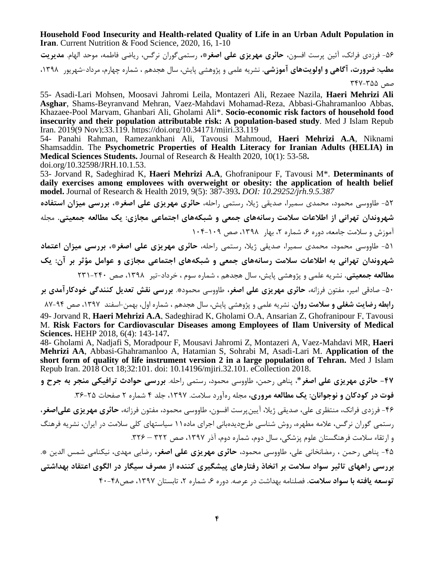**Household Food Insecurity and Health-related Quality of Life in an Urban Adult Population in Iran**. Current Nutrition & Food Science, 2020, 16, 1-10

-56 فرزدی فرانک، آئین پرست افسون، **حائری مهریزی علی اصغر\*،** رستمیگوران نرگس، ریاضی فاطمه، موحد الهام. **مدیریت مطب: ضرورت، آگاهی و اولویتهای آموزشی.** نشریه علمی و پژوهشی پایش، سال هجدهم ، شماره چهارم، مرداد-شهریور ،1398 صص 347-355

55- Asadi-Lari Mohsen, Moosavi Jahromi Leila, Montazeri Ali, Rezaee Nazila, **Haeri Mehrizi Ali Asghar**, Shams-Beyranvand Mehran, Vaez-Mahdavi Mohamad-Reza, Abbasi-Ghahramanloo Abbas, Khazaee-Pool Maryam, Ghanbari Ali, Gholami Ali\*. **Socio-economic risk factors of household food insecurity and their population attributable risk: A population-based study**. Med J Islam Repub Iran. 2019(9 Nov);33.119. https://doi.org/10.34171/mjiri.33.119

54- Panahi [Rahman,](http://hehp.modares.ac.ir/search.php?sid=5&slc_lang=en&auth=Jorvand) Ramezankhani Ali, Tavousi Mahmoud, **Haeri [Mehrizi](http://hehp.modares.ac.ir/search.php?sid=5&slc_lang=en&auth=Haeri+Mehrizi) A.A**, [Niknami](http://hehp.modares.ac.ir/search.php?sid=5&slc_lang=en&auth=Tavousi) Shamsaddin. The **[Psychometric Properties of Health Literacy for Iranian Adults \(HELIA\) in](http://hehp.modares.ac.ir/search.php?sid=5&slc_lang=en&auth=Tavousi)  [Medical Sciences Students.](http://hehp.modares.ac.ir/search.php?sid=5&slc_lang=en&auth=Tavousi)** Journal of [Research](http://hehp.modares.ac.ir/search.php?sid=5&slc_lang=en&auth=Tavousi) & Health 2020, 10(1): 53-58**.** doi.org/10.32598/JRH.10.1.53.

53- [Jorvand R,](http://hehp.modares.ac.ir/search.php?sid=5&slc_lang=en&auth=Jorvand) [Sadeghirad](http://hehp.modares.ac.ir/search.php?sid=5&slc_lang=en&auth=Sadeghirad) K, **Haeri [Mehrizi](http://hehp.modares.ac.ir/search.php?sid=5&slc_lang=en&auth=Haeri+Mehrizi) A.A**, [Ghofranipour](http://hehp.modares.ac.ir/search.php?sid=5&slc_lang=en&auth=Ghofranipour) F, Tavousi M\*. **[Determinants of](http://hehp.modares.ac.ir/search.php?sid=5&slc_lang=en&auth=Tavousi)  [daily exercises among employees with overweight or obesity: the application of health belief](http://hehp.modares.ac.ir/search.php?sid=5&slc_lang=en&auth=Tavousi)  model.** Journal of [Research](http://hehp.modares.ac.ir/search.php?sid=5&slc_lang=en&auth=Tavousi) & Health 2019, 9(5): 387-393**.** *DOI: 10.29252/jrh.9.5.387*

-52 طاووسی محمود، محمدی سمیرا، صدیقی ژیال، رستمی راحله، **حائری مهریزی علی اصغر\*، بررسی میزان استفاده شهروندان تهرانی از اطالعات سالمت رسانههای جمعی و شبکههای اجتماعی مجازی: یك مطالعه جمعیتی.** مجله آموزش و سلامت جامعه، دوره ۶، شماره ۲، بهار ۱۳۹۸، صص ۱۰۹-۱۰۴

-51 طاووسی محمود، محمدی سمیرا، صدیقی ژیال، رستمی راحله، **حائری مهریزی علی اصغر\*، بررسی میزان اعتماد شهروندان تهرانی به اطالعات سالمت رسانههای جمعی و شبکههای اجتماعی مجازی و عوامل مؤثر بر آن: یك مطالعه جمعیتی.** نشریه علمی و پژوهشی پایش، سال هجدهم ، شماره سوم ، خرداد-تیر ،1398 صص 231-240

-50 صادقی امیر، مفتون فرزانه، **حائری مهریزی علی اصغر،** طاووسی محمود\*. **بررسی نقش تعدیل كنندگی خودكارآمدی بر** 

**رابطه رضایت شغلی و سالمت روان.** نشریه علمی و پژوهشی پایش، سال هجدهم ، شماره اول، بهمن-اسفند ،1397 صص 87-94 49- [Jorvand R,](http://hehp.modares.ac.ir/search.php?sid=5&slc_lang=en&auth=Jorvand) **Haeri [Mehrizi](http://hehp.modares.ac.ir/search.php?sid=5&slc_lang=en&auth=Jorvand) A.A**, [Sadeghirad](http://hehp.modares.ac.ir/search.php?sid=5&slc_lang=en&auth=Sadeghirad) K, [Gholami](http://hehp.modares.ac.ir/search.php?sid=5&slc_lang=en&auth=Gholami) O.A, [Ansarian](http://hehp.modares.ac.ir/search.php?sid=5&slc_lang=en&auth=Ansarian) Z, [Ghofranipour](http://hehp.modares.ac.ir/search.php?sid=5&slc_lang=en&auth=Ghofranipour) F, [Tavousi](http://hehp.modares.ac.ir/search.php?sid=5&slc_lang=en&auth=Tavousi) M. **Risk Factors for [Cardiovascular](http://hehp.modares.ac.ir/search.php?sid=5&slc_lang=en&auth=Tavousi) Diseases among Employees of Ilam University of Medical [Sciences.](http://hehp.modares.ac.ir/search.php?sid=5&slc_lang=en&auth=Tavousi)** HEHP 2018, 6(4): [143-147](http://hehp.modares.ac.ir/search.php?sid=5&slc_lang=en&auth=Tavousi)**.**

48- Gholami A, Nadjafi S, Moradpour F, Mousavi Jahromi Z, Montazeri A, Vaez-Mahdavi MR, **Haeri Mehrizi AA**, Abbasi-Ghahramanloo A, Hatamian S, Sohrabi M, Asadi-Lari M. **[Application of the](https://www.ncbi.nlm.nih.gov/pubmed/30854345)  [short form of quality of life instrument version 2 in a large population of Tehran.](https://www.ncbi.nlm.nih.gov/pubmed/30854345)** Med J Islam Repub Iran. 2018 Oct 18;32:101. doi: 10.14196/mjiri.32.101. eCollection 2018.

**-47 [حائری مهریزی](http://rsj.iums.ac.ir/search.php?sid=1&slc_lang=fa&auth=%D8%AD%D8%A7%D8%A6%D8%B1%DB%8C+%D9%85%D9%87%D8%B1%DB%8C%D8%B2%DB%8C) علی اصغر**\*، [پناهی](http://rsj.iums.ac.ir/search.php?sid=1&slc_lang=fa&auth=%D9%BE%D9%86%D8%A7%D9%87%DB%8C) رحمن، [طاووسی](http://rsj.iums.ac.ir/search.php?sid=1&slc_lang=fa&auth=%D8%B7%D8%A7%D9%88%D9%88%D8%B3%DB%8C) محمود، [رستمی](http://rsj.iums.ac.ir/search.php?sid=1&slc_lang=fa&auth=%D8%B1%D8%B3%D8%AA%D9%85%DB%8C) راحله. **بررسی حوادث ترافیکی منجر به جرح و فوت در كودكان و نوجوانان: یك مطالعه مروری،** مجله رهآورد سالمت. ،1397 جلد 4 شماره 2 صفحات .36-25 -46 فرزدی فرانک، منتظری علی، صدیقی ژیال، آیینپرست افسون، طاووسی محمود، مفتون فرزانه، **حائری مهریزی علیاصغر**، رستمی گوران نرگس، عالمه مطهره، روش شناسی طرحدیدهبانی اجرای ماده11 سیاستهای کلی سالمت در ایران، نشریه فرهنگ و ارتقاء سالمت فرهنگستان علوم پزشكی، سال دوم، شماره دوم، آذر ،1397 صص 322 – .326 -45 پناهی [رحمن ،](http://jech.umsha.ac.ir/search.php?sid=1&slc_lang=fa&auth=%D9%BE%D9%86%D8%A7%D9%87%DB%8C) رمضانخانی [علی،](http://jech.umsha.ac.ir/search.php?sid=1&slc_lang=fa&auth=%D8%B1%D9%85%D8%B6%D8%A7%D9%86%D8%AE%D8%A7%D9%86%DB%8C) طاووسی [محمود،](http://jech.umsha.ac.ir/search.php?sid=1&slc_lang=fa&auth=%D8%B7%D8%A7%D9%88%D9%88%D8%B3%DB%8C) **حائری مهریزی علی اصغر،** رضای[ی](http://jech.umsha.ac.ir/search.php?sid=1&slc_lang=fa&auth=%D8%B9%D8%AB%D9%85%D8%A7%D9%86%DB%8C) [مهدی،](http://jech.umsha.ac.ir/search.php?sid=1&slc_lang=fa&auth=%D8%B9%D8%AB%D9%85%D8%A7%D9%86%DB%8C) نیكنام[ی](http://jech.umsha.ac.ir/search.php?sid=1&slc_lang=fa&auth=%D9%86%DB%8C%DA%A9%D9%86%D8%A7%D9%85%DB%8C) [شمس الدین](http://jech.umsha.ac.ir/search.php?sid=1&slc_lang=fa&auth=%D9%86%DB%8C%DA%A9%D9%86%D8%A7%D9%85%DB%8C) \*. **بررسی راههای تاثیر سواد سالمت بر اتخاذ رفتارهای پیشگیری كننده از مصرف سیگار در الگوی اعتقاد بهداشتی**

**توسعه یافته با سواد سالمت.** فصلنامه بهداشت در عرصه. دوره ،6 شماره ،2 تابستان ،1397 صص40-48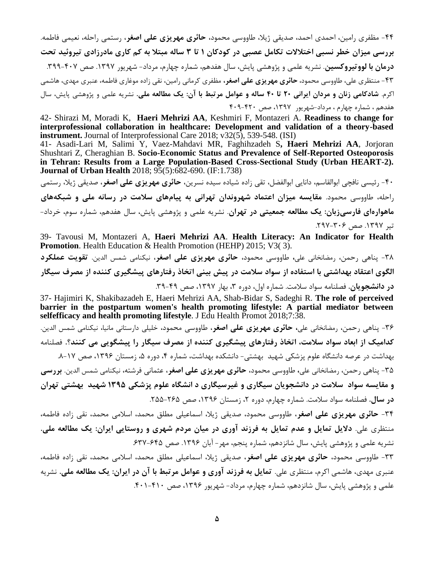-44 مظفری رامین، احمدی احمد، صدیقی ژیال، طاووسی محمود، **حائری مهریزی علی اصغر**، رستمی راحله، نعیمی فاطمه. **بررسی میزان خطر نسبی اختالالت تکامل عصبی در كودكان 1 تا 3 ساله مبتال به كم كاری مادرزادی تیروئید تحت درمان با لووتیروكسین**. نشریه علمی و پژوهشی پایش، سال هفدهم، شماره چهارم، مرداد- شهریور .1397 صص .399-407 -43 منتظری علی، طاووسی محمود، **حائری مهریزی علی اصغر،** مظفری کرمانی رامین، نقی زاده موغاری فاطمه، عنبری مهدی، هاشمی اکرم. **شادكامی زنان و مردان ایرانی 20 تا 40 ساله و عوامل مرتبط با آن: یك مطالعه ملی.** نشریه علمی و پژوهشی پایش، سال هفدهم ، شماره چهارم ، مرداد-شهریور ،1397 صص 409-420

42- Shirazi M, Moradi K, **Haeri Mehrizi AA**, Keshmiri F, Montazeri A. **Readiness to change for interprofessional collaboration in healthcare: Development and validation of a theory-based instrument.** Journal of Interprofessional Care 2018; v32(5), 539-548. (ISI)

41- Asadi-Lari M, Salimi Y, Vaez-Mahdavi MR, Faghihzadeh S**, Haeri Mehrizi AA**, Jorjoran Shushtari Z, Cheraghian B. **Socio-Economic Status and Prevalence of Self-Reported Osteoporosis in Tehran: Results from a Large Population-Based Cross-Sectional Study (Urban HEART-2). Journal of Urban Health** 2018; 95(5):682-690. (IF:1.738)

-40 رئیسی نافچی ابوالقاسم، دانایی ابوالفضل، تقی زاده شیاده سیده نسرین، **حائری مهریزی علی اصغر**، صدیقی ژیال، رستمی راحله، طاووسی محمود. **مقایسه میزان اعتماد شهروندان تهرانی به پیامهای سالمت در رسانه ملی و شبکههای ماهوارهای فارسیزبان: یك مطالعه جمعیتی در تهران**. نشریه علمی و پژوهشی پایش، سال هفدهم، شماره سوم، خرداد- تیر ۱۳۹۷. صص ۳۰۶–۲۹۷.

39- Tavousi M, Montazeri A, **Haeri Mehrizi AA**. **Health Literacy: An Indicator for Health Promotion**. Health Education & Health Promotion (HEHP) 2015; V3(3).

-38 پناهی رحمن، رمضانخانی علی**،** طاووسی محمود، **حائری مهریزی علی اصغر**، نیكنامی شمس الدین. **تقویت عملکرد** الگوی اعتقاد بهداشتی با استفاده از سواد سلامت در پیش بینی اتخاذ رفتارهای پیشگیری کننده از مصرف سیگار **در دانشجویان.** فصلنامه سواد سالمت. شماره اول، دوره ،3 بهار ،1397 صص .39-49

37- Hajimiri K, Shakibazadeh E, Haeri Mehrizi AA, Shab-Bidar S, Sadeghi R. **The role of perceived barrier in the postpartum women's health promoting lifestyle: A partial mediator between selfefficacy and health promoting lifestyle**. J Edu Health Promot 2018;7:38.

-36 پناهی رحمن، رمضانخانی علی**، حائری مهریزی علی اصغر**، طاووسی محمود، خلیلی دارستانی مانیا، نیكنامی شمس الدین. **كدامیك از ابعاد سواد سالمت، اتخاذ رفتارهای پیشگیری كننده از مصرف سیگار را پیشگویی می كنند؟.** فصلنامه بهداشت در عرصه دانشگاه علوم پزشكی شهید بهشتی- دانشكده بهداشت، شماره ۴، دوره ۵، زمستان ۱۳۹۶، صص ۱۷-۸.

-35 پناهی رحمن، رمضانخانی علی**،** طاووسی محمود، **حائری مهریزی علی اصغر**، عثمانی فرشته، نیكنامی شمس الدین. **بررسى و مقایسه سواد سالمت در دانشجویان سیگارى و غیرسیگارى د انشگاه علوم پزشکى 1395 شهید بهشتى تهران در سال.** فصلنامه سواد سالمت. شماره چهارم، دوره ،2 زمستان ،1396 صص .255-265

-34 **حائری مهریزی علی اصغر**، طاووسی محمود، صدیقی ژیال، اسماعیلی مطلق محمد، اسالمی محمد، نقی زاده فاطمه، منتظری علی. **دالیل تمایل و عدم تمایل به فرزند آوری در میان مردم شهری و روستایی ایران: یك مطالعه ملی.** نشریه علمی و پژوهشی پایش، سال شانزدهم، شماره پنجم، مهر- آبان ۱۳۹۶. صص ۶۴۵-۶۳۷.

-33 طاووسی محمود، **حائری مهریزی علی اصغر**، صدیقی ژیال، اسماعیلی مطلق محمد، اسالمی محمد، نقی زاده فاطمه، عنبری مهدی، هاشمی اکرم، منتظری علی. **تمایل به فرزند آوری و عوامل مرتبط با آن در ایران: یك مطالعه ملی.** نشریه علمی و پژوهشی پایش، سال شانزدهم، شماره چهارم، مرداد- شهریور ۱۳۹۶، صص ۴۰۱-۴۰۱.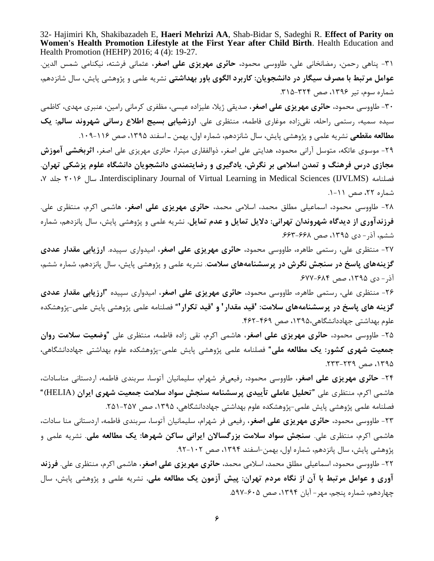32- Hajimiri Kh, Shakibazadeh E, **Haeri Mehrizi AA**, Shab-Bidar S, Sadeghi R. **Effect of Parity on Women's Health Promotion Lifestyle at the First Year after Child Birth**. Health Education and Health Promotion (HEHP) 2016; 4 (4): 19-27.

-31 پناهی رحمن، رمضانخانی علی، طاووسی محمود، **حائری مهریزی علی اصغر**، عثمانی فرشته، نیكنامی شمس الدین. **عوامل مرتبط با مصرف سیگار در دانشجویان: كاربرد الگوی باور بهداشتی** نشریه علمی و پژوهشی پایش، سال شانزدهم، شماره سوم، تیر ۱۳۹۶، صص ۳۲۴-۲۱۵.

-30 طاووسی محمود، **حائری مهریزی علی اصغر**، صدیقی ژیال، علیزاده عیسی، مظفری کرمانی رامین، عنبری مهدی، کاظمی سیده سمیه، رستمی راحله، نقیزاده موغاری فاطمه، منتظری علی. **ارزشیابی بسیج اطالع رسانی شهروند سالم: یك مطالعه مقطعی** نشریه علمی و پژوهشی پایش، سال شانزدهم، شماره اول، بهمن ـ اسفند ،1395 صص .109-116

-29 موسوی عاتكه، متوسل آرانی محمود**،** هدایتی علی اصغر، ذوالفقاری میترا، حائری مهریزی علی اصغر، **اثربخشی آموزش مجازی درس فرهنگ و تمدن اسالمی بر نگرش، یادگیری و رضایتمندی دانشجویان دانشگاه علوم پزشکی تهران**. ،7 جلد 2016 سال ،Interdisciplinary Journal of Virtual Learning in Medical Sciences (IJVLMS) فصلنامه شماره ۲۲، صص ۱۱-۱.

-28 طاووسی محمود، اسماعیلی مطلق محمد، اسالمی محمد، **حائری مهریزی علی اصغر**، هاشمی اکرم، منتظری علی. **فرزندآوری از دیدگاه شهروندان تهرانی: دالیل تمایل و عدم تمایل.** نشریه علمی و پژوهشی پایش، سال پانزدهم، شماره ششم، آذر- دی ،1395 صص .663-668

-27 منتظری علی، رستمی طاهره، طاووسی محمود، **حائری مهریزی علی اصغر**، امیدواری سپیده. **ارزیابی مقدار عددی گزینههای پاسخ در سنجش نگرش در پرسشنامههای سالمت**. نشریه علمی و پژوهشی پایش، سال پانزدهم، شماره ششم، آذر- دی ،1395 صص .677-684

-26 منتظری علی، رستمی طاهره، طاووسی محمود، **حائری مهریزی علی اصغر**، امیدواری سپیده **"ارزیابی مقدار عددی گزینه های پاسخ در پرسشنامههای سالمت: 'قید مقدار' و 'قید تکرار'**" فصلنامه علمی پژوهشی پایش علمی-پژوهشكده علوم بهداشتی جهاددانشگاهی،1395، صص .462-469

-25 طاووسی محمود، **حائری مهریزی علی اصغر**، هاشمی اکرم، نقی زاده فاطمه، منتظری علی "**وضعیت سالمت روان جمعیت شهری كشور: یك مطالعه ملی**" فصلنامه علمی پژوهشی پایش علمی-پژوهشكده علوم بهداشتی جهاددانشگاهی، ،1395 صص .233-239

-24 **حائری مهریزی علی اصغر**، طاووسی محمود، رفیعیفر شهرام، سلیمانیان آتوسا، سربندی فاطمه، اردستانی مناسادات، هاشمی اکرم، منتظری علی "**تحلیل عاملی تأییدی پرسشنامه سنجش سواد سالمت جمعیت شهری ایران )**HELIA "**)** فصلنامه علمی پژوهشی پایش علمی-پژوهشكده علوم بهداشتی جهاددانشگاهی، ،1395 صص .251-257

-23 طاووسی محمود، **حائری مهریزی علی اصغر**، رفیعی فر شهرام، سلیمانیان آتوسا، سربندی فاطمه، اردستانی منا سادات، هاشمی اکرم، منتظری علی. **سنجش سواد سالمت بزرگساالن ایرانی ساكن شهرها: یك مطالعه ملی**. نشریه علمی و پژوهشی پایش، سال پانزدهم، شماره اول، بهمن-اسفند ۱۳۹۴، صص ۱۰۲-۹۲.

-22 طاووسی محمود، اسماعیلی مطلق محمد، اسالمی محمد، **حائری مهریزی علی اصغر**، هاشمی اکرم، منتظری علی. **فرزند آوری و عوامل مرتبط با آن از نگاه مردم تهران: پیش آزمون یك مطالعه ملی.** نشریه علمی و پژوهشی پایش، سال چهاردهم، شماره پنجم، مهر- آبان ،1394 صص .597-605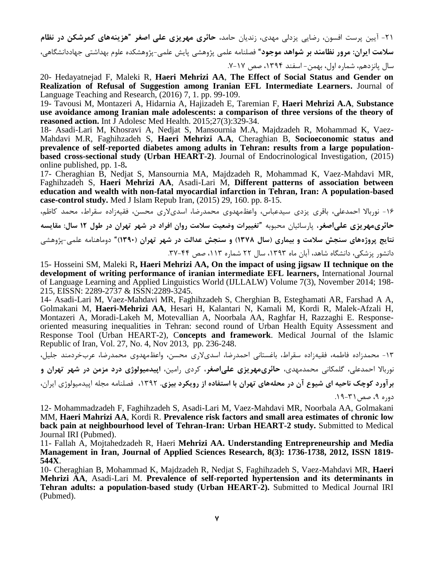-21 آیین پرست افسون، رضایی یزدلی مهدی، زندیان حامد، **حائری مهریزی علی اصغر** "**هزینههای كمرشکن در نظام سالمت ایران: مرور نظامند بر شواهد موجود**" فصلنامه علمی پژوهشی پایش علمی-پژوهشكده علوم بهداشتی جهاددانشگاهی، سال پانزدهم، شماره اول، بهمن- اسفند ،1394 صص .7-17

20- Hedayatnejad F, Maleki R, **Haeri Mehrizi AA**, **The Effect of Social Status and Gender on Realization of Refusal of Suggestion among Iranian EFL Intermediate Learners.** Journal of Language Teaching and Research, (2016) 7, 1. pp. 99-109.

19- Tavousi M, Montazeri A, Hidarnia A, Hajizadeh E, Taremian F, **Haeri Mehrizi A.A**, **Substance use avoidance among Iranian male adolescents: a comparison of three versions of the theory of reasoned action.** Int J Adolesc Med Health. 2015;27(3):329-34.

18- Asadi-Lari M, Khosravi A, Nedjat S, Mansournia M.A, Majdzadeh R, Mohammad K, Vaez-Mahdavi M.R, Faghihzadeh S, **Haeri Mehrizi A.A**, Cheraghian B, **Socioeconomic status and prevalence of self-reported diabetes among adults in Tehran: results from a large populationbased cross-sectional study (Urban HEART-2)**. [Journal of Endocrinological Investigation,](http://link.springer.com/journal/40618) (2015) online published, pp. 1-8**.**

17- Cheraghian B, Nedjat S, Mansournia MA, Majdzadeh R, Mohammad K, Vaez-Mahdavi MR, Faghihzadeh S, **Haeri Mehrizi AA**, Asadi-Lari M, **[Different patterns of association between](http://phdtree.org/pdf/62527646-different-patterns-of-association-between-education-and-wealth-with-non-fatal-myocardial-infarction-in-tehran-iran-a-population-based-case-co/)  [education and wealth with non-fatal myocardial infarction in Tehran, Iran: A population-based](http://phdtree.org/pdf/62527646-different-patterns-of-association-between-education-and-wealth-with-non-fatal-myocardial-infarction-in-tehran-iran-a-population-based-case-co/)  [case-control study.](http://phdtree.org/pdf/62527646-different-patterns-of-association-between-education-and-wealth-with-non-fatal-myocardial-infarction-in-tehran-iran-a-population-based-case-co/)** Med J Islam Repub Iran, (2015) 29, 160. pp. 8-15.

-16 نورباال احمدعلی، باقری یزدی سیدعباس، واعظمهدوی محمدرضا، اسدیالری محسن، فقیهزاده سقراط، محمد کاظم، **حائریمهریزی علیاصغر**، پارسائیان محبوبه "**[تغییرات وضعیت سالمت روان افراد در شهر تهران در طول 12](http://daneshvarmed.shahed.ac.ir/files/site1/user_files_7561d7/admin-A-10-1-258-732ade5.) سال: مقایسه [نتایج پروژههای سنجش سالمت و بیماری \)سال 1378\( و سنجش عدالت در شهر تهران](http://daneshvarmed.shahed.ac.ir/files/site1/user_files_7561d7/admin-A-10-1-258-732ade5.) )1390(**" دوماهنامه علمی-پژوهشی دانشور پزشكی، دانشگاه شاهد، آبان ماه ،1393 سال 22 شماره ،113 صص .37-44

15- Hosseini SM, Maleki R**, Haeri Mehrizi AA, On the impact of using jigsaw II technique on the development of writing performance of iranian intermediate EFL learners,** International Journal of Language Learning and Applied Linguistics World (IJLLALW) Volume 7(3), November 2014; 198- 215, EISSN: 2289-2737 & ISSN:2289-3245.

14- Asadi-Lari M, Vaez-Mahdavi MR, Faghihzadeh S, Cherghian B, Esteghamati AR, Farshad A A, Golmakani M, **Haeri-Mehrizi AA**, Hesari H, Kalantari N, Kamali M, Kordi R, Malek-Afzali H, Montazeri A, Moradi-Lakeh M, Motevallian A, Noorbala AA, Raghfar H, Razzaghi E. Responseoriented measuring inequalities in Tehran: second round of Urban Health Equity Assessment and Response Tool (Urban HEART-2), C**oncepts and framework**. Medical Journal of the Islamic Republic of Iran, Vol. 27, No. 4, Nov 2013, pp. 236-248.

-13 محمدزاده فاطمه، فقیهزاده سقراط، باغستانی احمدرضا، اسدیالری محسن، واعظمهدوی محمدرضا، عربخردمند جلیل،

نورباال احمدعلی، گلمكانی محمدمهدی، **حائریمهریزی علیاصغر**، کردی رامین، **اپیدمیولوژی درد مزمن در شهر تهران و** 

**برآورد كوچك ناحیه ای شیوع آن در محلههای تهران با استفاده از رویکرد بیزی.** ،1392 فصلنامه مجله اپیدمیولوژی ایران، دوره ۹، صص ۳۱-۱۹.

12- Mohammadzadeh F, Faghihzadeh S, Asadi-Lari M, Vaez-Mahdavi MR, Noorbala AA, Golmakani MM, **Haeri Mahrizi AA**, Kordi R. **Prevalence risk factors and small area estimates of chronic low back pain at neighbourhood level of Tehran-Iran: Urban HEART-2 study.** Submitted to Medical Journal IRI (Pubmed).

11- Fallah A, Mojtahedzadeh R, Haeri **Mehrizi AA. Understanding Entrepreneurship and Media Management in Iran, Journal of Applied Sciences Research, 8(3): 1736-1738, 2012, ISSN 1819- 544X**.

10- Cheraghian B, Mohammad K, Majdzadeh R, Nedjat S, Faghihzadeh S, Vaez-Mahdavi MR, **Haeri Mehrizi AA**, Asadi-Lari M. **Prevalence of self-reported hypertension and its determinants in Tehran adults: a population-based study (Urban HEART-2).** Submitted to Medical Journal IRI (Pubmed).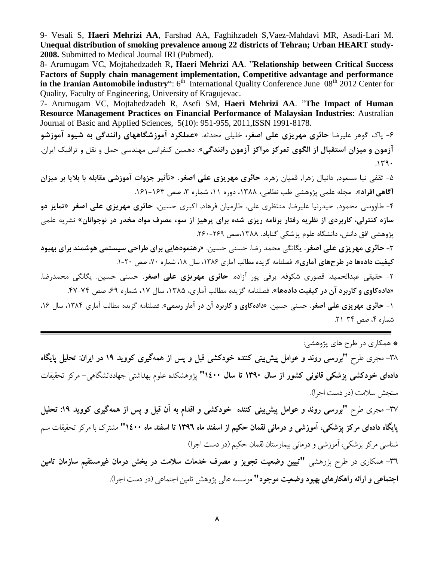9- Vesali S, **Haeri Mehrizi AA**, Farshad AA, Faghihzadeh S,Vaez-Mahdavi MR, Asadi-Lari M. **Unequal distribution of smoking prevalence among 22 districts of Tehran; Urban HEART study-2008.** Submitted to Medical Journal IRI (Pubmed).

8- Arumugam VC, Mojtahedzadeh R**, Haeri Mehrizi AA**. "**Relationship between Critical Success Factors of Supply chain management implementation, Competitive advantage and performance**  in the Iranian Automobile industry": 6<sup>th</sup> International Quality Conference June 08<sup>th</sup> 2012 Center for Quality, Faculty of Engineering, University of Kragujevac.

7- Arumugam VC, Mojtahedzadeh R, Asefi SM, **Haeri Mehrizi AA**. "**The Impact of Human Resource Management Practices on Financial Performance of Malaysian Industries**: Australian Journal of Basic and Applied Sciences, 5(10): 951-955, 2011,ISSN 1991-8178.

-6 پاك گوهر علیرضا **حائری مهریزی [علی اصغر،](https://www.civilica.com/modules.php?name=PaperSearch&queryWf=%D8%B9%D9%84%DB%8C%20%D8%A7%D8%B5%D8%BA%D8%B1&queryWr=%D8%AD%D8%A7%D8%A6%D8%B1%DB%8C%20%D9%85%D9%87%D8%B1%DB%8C%D8%B2%DB%8C&simoradv=ADV&period=all&ConfereceRes=1&JournalRes=1)** خلیلی [محدثه.](https://www.civilica.com/modules.php?name=PaperSearch&queryWf=%D9%85%D8%AD%D8%AF%D8%AB%D9%87&queryWr=%D8%AE%D9%84%DB%8C%D9%84%DB%8C&simoradv=ADV&period=all&ConfereceRes=1&JournalRes=1) **[»عملکرد آموزشگاههای رانندگی به شیوه آموزشو](https://www.civilica.com/Paper-TTC10-TTC10_021=%D8%B9%D9%85%D9%84%DA%A9%D8%B1%D8%AF-%D8%A2%D9%85%D9%88%D8%B2%D8%B4%DA%AF%D8%A7%D9%87%D9%87%D8%A7%DB%8C-%D8%B1%D8%A7%D9%86%D9%86%D8%AF%DA%AF%DB%8C-%D8%A8%D9%87-%D8%B4%DB%8C%D9%88%D9%87-%D8%A2%D9%85%D9%88%D8%B2%D8%B4%D9%88-%D8%A2%D8%B2%D9%85%D9%88%D9%86-%D9%88-%D9%85%DB%8C%D8%B2%D8%A7%D9%86-%D8%A7%D8%B3%D8%AA%D9%82%D8%A8%D8%A7%D9%84-%D8%A7%D8%B2-%D8%A7%D9%84%DA%AF%D9%88%DB%8C-%D8%AA%D9%85%D8%B1%DA%A9%D8%B2-%D9%85%D8%B1%D8%A7%DA%A9%D8%B2-%D8%A2%D8%B2%D9%85%D9%88%D9%86.html)  [آزمون و میزان استقبال از الگوی تمركز مراكز آزمون رانندگی«](https://www.civilica.com/Paper-TTC10-TTC10_021=%D8%B9%D9%85%D9%84%DA%A9%D8%B1%D8%AF-%D8%A2%D9%85%D9%88%D8%B2%D8%B4%DA%AF%D8%A7%D9%87%D9%87%D8%A7%DB%8C-%D8%B1%D8%A7%D9%86%D9%86%D8%AF%DA%AF%DB%8C-%D8%A8%D9%87-%D8%B4%DB%8C%D9%88%D9%87-%D8%A2%D9%85%D9%88%D8%B2%D8%B4%D9%88-%D8%A2%D8%B2%D9%85%D9%88%D9%86-%D9%88-%D9%85%DB%8C%D8%B2%D8%A7%D9%86-%D8%A7%D8%B3%D8%AA%D9%82%D8%A8%D8%A7%D9%84-%D8%A7%D8%B2-%D8%A7%D9%84%DA%AF%D9%88%DB%8C-%D8%AA%D9%85%D8%B1%DA%A9%D8%B2-%D9%85%D8%B1%D8%A7%DA%A9%D8%B2-%D8%A2%D8%B2%D9%85%D9%88%D9%86.html)**. دهمین کنفرانس مهندسی حمل و نقل و ترافیک ایران.  $.149$ 

-5 ثقفی نیا مسعود, دانیال زهرا, قمیان زهره. **حائری مهریزی علی اصغر.** »**تأثیر جزوات آموزشی مقابله با بالیا بر میزان آگاهی افراد«.** مجله علمی پژوهشی طب نظامی، ،1388 دوره ،11 شماره ،3 صص .161-164

-4 [طاووسی محمود,](http://fa.journals.sid.ir/SearchPaper.aspx?writer=90262) [حیدرنیا علیرضا,](http://fa.journals.sid.ir/SearchPaper.aspx?writer=1867) [منتظری علی,](http://fa.journals.sid.ir/SearchPaper.aspx?writer=3896) [طارمیان فرهاد,](http://fa.journals.sid.ir/SearchPaper.aspx?writer=54712) [اکبری حسین,](http://fa.journals.sid.ir/SearchPaper.aspx?writer=6129) **[حائری مهریزی علی اصغر](http://fa.journals.sid.ir/SearchPaper.aspx?writer=71009)** »**تمایز دو سازه كنترلی، كاربردی از نظریه رفتار برنامه ریزی شده برای پرهیز از سوء مصرف مواد مخدر در نوجوانان**« نشریه علمی پژوهشی افق دانش، دانشگاه علوم پزشكی گناباد. ۱۳۸۸،صص ۲۶۹-۲۶۰.

-3 **[حائری مهریزی](http://www.noormags.ir/view/fa/creator/88463/%d8%b9%d9%84%db%8c_%d8%a7%d8%b5%d8%ba%d8%b1_%d8%ad%d8%a7%d8%a6%d8%b1%db%8c_%d9%85%d9%87%d8%b1%db%8c%d8%b2%db%8c) علی اصغر.** [یگانگی محمد رضا.](http://www.noormags.ir/view/fa/creator/88464/%d9%85%d8%ad%d9%85%d8%af_%d8%b1%d8%b6%d8%a7_%db%8c%da%af%d8%a7%d9%86%da%af%db%8c) حسنی [حسین.](http://www.noormags.ir/view/fa/creator/88465/%d8%ad%d8%b3%db%8c%d9%86_%d8%ad%d8%b3%d9%86%db%8c) **»رهنمودهایی برای طراحی سیستمی هوشمند برای بهبود كیفیت دادهها در طرحهای آماری«.** فصلنامه گزیده مطالب آماری ،1386 سال ،18 شماره ،70 صص .1-20

-2 حقیقی عبدالحمید. قصوری شكوفه. برفی پور آزاده. **حائری مهریزی علی اصغر**. حسنی حسین. یگانگی محمدرضا. **»دادهكاوی و كاربرد آن در كیفیت دادهها«.** فصلنامه گزیده مطالب آماری، ،1385 سال ،17 شماره ،69 صص .47-74

-1 **حائری مهریزی علی اصغر**. حسنی حسین. **»دادهكاوی و كاربرد آن در آمار رسمی«**. فصلنامه گزیده مطالب آماری ،1384 سال ،16 شماره ۴، صص ۳۴-۲۱.

\* همكاری در طرح های پژوهشی:

-38 مجری طرح **"بررسی روند و عوامل پیشبینی کننده خودکشی قبل و پس از همهگیری کووید 19 در ایران: تحلیل پایگاه دادهای خودکشی پزشکی قانونی کشور از سال ۱۳۹۰ تا سال ۱۶۰۰"** پژوهشکده علوم بهداشتی جهاددانشگاهی– مرکز تحقیقات سنجش سالمت )در دست اجرا(.

**بررسی روند و عوامل پیشبینی کننده خودکشی و اقدام به آن قبل و پس از همهگیری کووید :19 تحلیل** -37 مجری طرح **" پایگاه دادهای مرکز پزشکی، آموزشی و درمانی لقمان حکیم از اسفند ماه 1396 تا اسفند ماه 1400"** مشترک با مرکز تحقیقات سم شناسی مرکز پزشکی، آموزشی و درمانی بیمارستان لقمان حکیم )در دست اجرا(

۳٦– همکاری در طرح پژوهشی **"تبیین وضعیت تجویز و مصرف خدمات سلامت در بخش درمان غیرمستقیم سازمان تامین** <mark>اجتماعی و ارائه راهکارهای بهبود وضعیت موجود "</mark> موسسه عالی پژوهش تامین اجتماعی (در دست اجرا).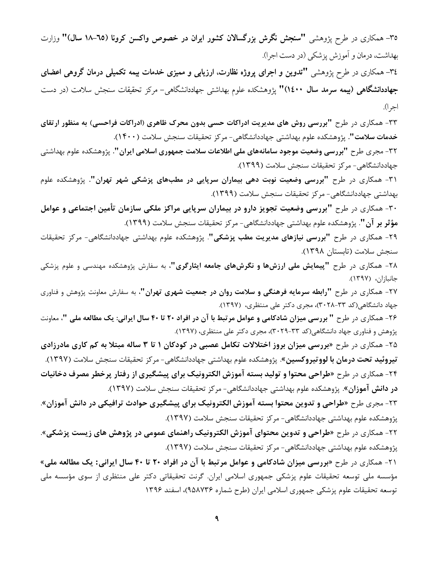**۳**۵– همکاری در طرح پژوهشی **"سنجش نگرش بزرگسالان کشور ایران در خصوص واکسن کرونا (٦٥–١٨ <b>سال)"** وزارت بهداشت، درمان و آموزش پزشکی )در دست اجرا(.

-34 همکاری در طرح پژوهشی **"تدوین و اجرای پروژه نظارت، ارزیابی و ممیزی خدمات بیمه تکمیلی درمان گروهی اعضای جهاددانشگاهی )بیمه سرمد سال 1400("** پژوهشکده علوم بهداشتی جهاددانشگاهی- مرکز تحقیقات سنجش سالمت )در دست اجرا(.

-33 همكاری در طرح **"بررسی روش های مدیریت ادراكات حسی بدون محرک ظاهری )ادراكات فراحسی( به منظور ارتقای خدمات سالمت".** پژوهشكده علوم بهداشتی جهاددانشگاهی- مرکز تحقیقات سنجش سالمت )1400(.

-32 مجری طرح **"بررسی وضعیت موجود سامانههای ملی اطالعات سالمت جمهوری اسالمی ایران".** پژوهشكده علوم بهداشتی جهاددانشگاهی- مرکز تحقیقات سنجش سالمت )1399(.

-31 همكاری در طرح **"بررسی وضعیت نوبت دهی بیماران سرپایی در مطبهای پزشکی شهر تهران".** پژوهشكده علوم بهداشتی جهاددانشگاهی- مرکز تحقیقات سنجش سالمت )1399(.

-30 همكاری در طرح **"بررسی وضعیت تجویز دارو در بیماران سرپایی مراكز ملکی سازمان تأمین اجتماعی و عوامل مؤثر بر آن"**. پژوهشكده علوم بهداشتی جهاددانشگاهی- مرکز تحقیقات سنجش سالمت )1399(.

-29 همكاری در طرح **"بررسی نیازهای مدیریت مطب پزشکی"**. پژوهشكده علوم بهداشتی جهاددانشگاهی- مرکز تحقیقات سنجش سالمت )تابستان 1398(.

-28 همكاری در طرح **"پیمایش ملی ارزشها و نگرشهای جامعه ایثارگری"**، به سفارش پژوهشكده مهندسی و علوم پزشكی جانبازان، (۱۳۹۷).

-27 همكاری در طرح **"رابطه سرمایه فرهنگی و سالمت روان در جمعیت شهری تهران"**، به سفارش معاونت پژوهش و فناوری جهاد دانشگاهی(کد ۳۳-۲۰۲۸)، مجری دکتر علی منتظری، (۱۳۹۷).

-26 همكاری در طرح **" بررسی میزان شادكامی و عوامل مرتبط با آن در افراد 20 تا 40 سال ایرانی: یك مطالعه ملی "**، معاونت پژوهش و فناوری جهاد دانشگاهی(کد ۳۳-۳۰۲۹)، مجری دکتر علی منتظری، (۱۳۹۷).

-25 همكاری در طرح **»بررسی میزان بروز اختالالت تکامل عصبی در كودكان 1 تا 3 ساله مبتال به كم كاری مادرزادی تیروئید تحت درمان با لووتیروكسین**«. پژوهشكده علوم بهداشتی جهاددانشگاهی- مرکز تحقیقات سنجش سالمت )1397(. -24 همكاری در طرح **»طراحی محتوا و تولید بسته آموزش الکترونیك برای پیشگیری از رفتار پرخطر مصرف دخانیات در دانش آموزان**«. پژوهشكده علوم بهداشتی جهاددانشگاهی- مرکز تحقیقات سنجش سالمت )1397(.

-23 مجری طرح **»طراحی و تدوین محتوا بسته آموزش الکترونیك برای پیشگیری حوادث ترافیکی در دانش آموزان**«. پژوهشكده علوم بهداشتی جهاددانشگاهی- مرکز تحقیقات سنجش سالمت )1397(.

-22 همكاری در طرح **»طراحی و تدوین محتوای آموزش الکترونیك راهنمای عمومی در پژوهش های زیست پزشکی«**. پژوهشكده علوم بهداشتی جهاددانشگاهی- مرکز تحقیقات سنجش سالمت )1397(.

-21 همكاری در طرح **»بررسی میزان شادكامی و عوامل مرتبط با آن در افراد 20 تا 40 سال ایرانی: یك مطالعه ملی«** مؤسسه ملی توسعه تحقیقات علوم پزشكی جمهوری اسالمی ایران. گرنت تحقیقاتی دکتر علی منتظری از سوی مؤسسه ملی توسعه تحقیقات علوم پزشكی جمهوری اسالمی ایران )طرح شماره 958736(، اسفند 1396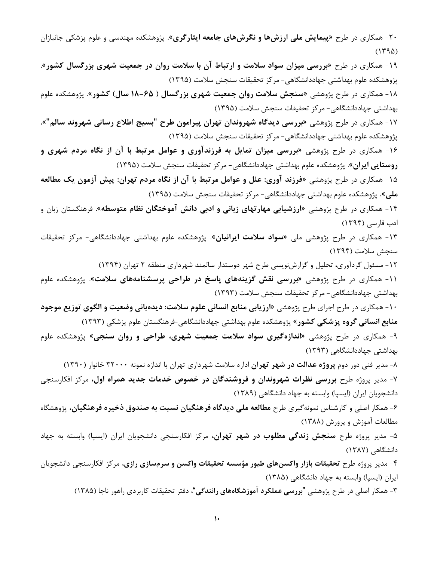-20 همكاری در طرح **»پیمایش ملی ارزشها و نگرشهای جامعه ایثارگری«**. پژوهشكده مهندسی و علوم پزشكی جانبازان  $(1490)$ 

-19 همكاری در طرح **»بررسی میزان سواد سالمت و ارتباط آن با سالمت روان در جمعیت شهری بزرگسال كشور«**. پژوهشكده علوم بهداشتی جهاددانشگاهی- مرکز تحقیقات سنجش سالمت )1395(

-18 همكاری در طرح پژوهشی »**سنجش سالمت روان جمعیت شهری بزرگسال ) 18-65 سال( كشور**«. پژوهشكده علوم بهداشتی جهاددانشگاهی- مرکز تحقیقات سنجش سالمت )1395(

-17 همكاری در طرح پژوهشی **»بررسی دیدگاه شهروندان تهران پیرامون طرح** "**بسیج اطالع رسانی شهروند سالم**"**«.** پژوهشكده علوم بهداشتی جهاددانشگاهی- مرکز تحقیقات سنجش سالمت )1395(

-16 همكاری در طرح پژوهشی »**بررسی میزان تمایل به فرزندآوری و عوامل مرتبط با آن از نگاه مردم شهری و روستایی ایران**«. پژوهشكده علوم بهداشتی جهاددانشگاهی- مرکز تحقیقات سنجش سالمت )1395(

-15 همكاری در طرح پژوهشی »**فرزند آوری: علل و عوامل مرتبط با آن از نگاه مردم تهران: پیش آزمون یك مطالعه ملی«.** پژوهشكده علوم بهداشتی جهاددانشگاهی- مرکز تحقیقات سنجش سالمت )1395(

-14 همكاری در طرح پژوهشی »**ارزشیابی مهارتهای زبانی و ادبی دانش آموختگان نظام متوسطه**«. فرهنگستان زبان و ادب فارسی )1394(

-13 همكاری در طرح پژوهشی ملی »**سواد سالمت ایرانیان**«. پژوهشكده علوم بهداشتی جهاددانشگاهی- مرکز تحقیقات سنجش سالمت )1394(

-12 مسئول گردآوری، تحلیل و گزارشنویسی طرح شهر دوستدار سالمند شهرداری منطقه 2 تهران )1394(

-11 همكاری در طرح پژوهشی »**بررسی نقش گزینههای پاسخ در طراحی پرسشنامههای سالمت**«. پژوهشكده علوم بهداشتی جهاددانشگاهی- مرکز تحقیقات سنجش سالمت )1393(

-10 همكاری در طرح اجرای طرح پژوهشی »**ارزیابی منابع انسانی علوم سالمت: دیدهبانی وضعیت و الگوی توزیع موجود منابع انسانی گروه پزشکی كشور**« پژوهشكده علوم بهداشتی جهاددانشگاهی-فرهنگستان علوم پزشكی )1393(

-9 همكاری در طرح پژوهشی »**اندازهگیری سواد سالمت جمعیت شهری، طراحی و روان سنجی**« پژوهشكده علوم بهداشتی جهاددانشگاهی )1393(

-8 مدیر فنی دور دوم **پروژه عدالت در شهر تهران** اداره سالمت شهرداری تهران با اندازه نمونه 32000 خانوار )1390( -7 مدیر پروژه طرح **بررسی نظرات شهروندان و فروشندگان در خصوص خدمات جدید همراه اول،** مرکز افكارسنجی دانشجویان ایران (ایسپا) وابسته به جهاد دانشگاهی (۱۳۸۹)

-6 همكار اصلی و کارشناس نمونهگیری طرح **مطالعه ملی دیدگاه فرهنگیان نسبت به صندوق ذخیره فرهنگیان،** پژوهشگاه مطالعات آموزش و پرورش (۱۳۸۸)

-5 مدیر پروژه طرح **سنجش زندگی مطلوب در شهر تهران،** مرکز افكارسنجی دانشجویان ایران )ایسپا( وابسته به جهاد دانشگاهی (۱۳۸۷)

-4 مدیر پروژه طرح **تحقیقات بازار واكسنهای طیور مؤسسه تحقیقات واكسن و سرمسازی رازی،** مرکز افكارسنجی دانشجویان ایران (ایسپا) وابسته به جهاد دانشگاهی (۱۳۸۵)

-3 همكار اصلی در طرح پژوهشی "**بررسی عملکرد آموزشگاههای رانندگی**"، دفتر تحقیقات کاربردی راهور ناجا )1385(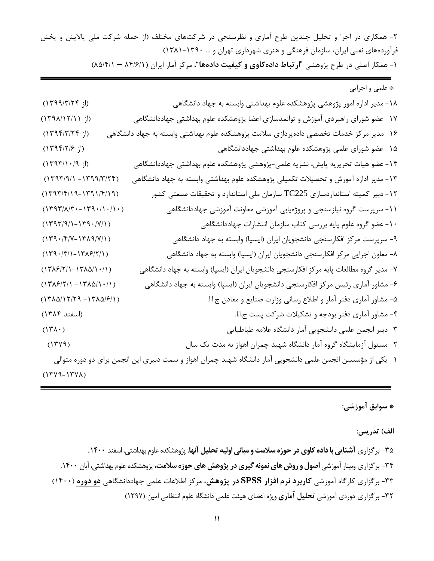-2 همكاری در اجرا و تحلیل چندین طرح آماری و نظرسنجی در شرکتهای مختلف )از جمله شرکت ملی پاالیش و پخش فرآوردههای نفتی ایران، سازمان فرهنگی و هنری شهرداری تهران و ... 1381-1390( -1 همكار اصلی در طرح پژوهشی "**ارتباط دادهكاوی و كیفیت دادهها**"، مرکز آمار ایران )84/6/1 – 85/4/1(

\* علمی و اجرایی -18 مدیر اداره امور پژوهشی پژوهشكده علوم بهداشتی وابسته به جهاد دانشگاهی )از 1399/3/24( -17 عضو شورای راهبردی آموزش و توانمدسازی اعضا پژوهشكده علوم بهداشتی جهاددانشگاهی )از 1398/12/11( -16 مدیر مرکز خدمات تخصصی دادهپردازی سالمت پژوهشكده علوم بهداشتی وابسته به جهاد دانشگاهی )از 1394/3/24( -15 عضو شورای علمی پژوهشكده علوم بهداشتی جهاددانشگاهی )از 1394/2/6( -14 عضو هیات تحریریه پایش، نشریه علمی-پژوهشی پژوهشكده علوم بهداشتی جهاددانشگاهی )از 1393/10/9( -13 مدیر اداره آموزش و تحصیالت تكمیلی پژوهشكده علوم بهداشتی وابسته به جهاد دانشگاهی )-1399/3/24 1393/9/1( -12 دبیر کمیته استانداردسازی 225TC سازمان ملی استاندارد و تحقیقات صنعتی کشور )1393/4/19-1391/4/19( -11 سرپرست گروه نیازسنجی و پروژهیابی آموزشی معاونت آموزشی جهاددانشگاهی )1393/8/30-1390/10/10( -10 عضو گروه علوم پایه بررسی کتاب سازمان انتشارات جهاددانشگاهی )1393/9/1-1390/7/1( -9 سرپرست مرکز افكارسنجی دانشجویان ایران )ایسپا( وابسته به جهاد دانشگاهی )1390/4/7-1389/7/1( -8 معاون اجرایی مرکز افكارسنجی دانشجویان ایران )ایسپا( وابسته به جهاد دانشگاهی )1390/4/1-1386/2/1( -7 مدیر گروه مطالعات پایه مرکز افكارسنجی دانشجویان ایران )ایسپا( وابسته به جهاد دانشگاهی )1386/2/1-1385/10/1( -6 مشاور آماری رئیس مرکز افكارسنجی دانشجویان ایران )ایسپا( وابسته به جهاد دانشگاهی )-1385/10/1 1386/2/1( -5 مشاور آماری دفتر آمار و اطالع رسانی وزارت صنایع و معادن ج.ا.ا. )-1385/6/1 1385/12/29( -4 مشاور آماری دفتر بودجه و تشكیالت شرکت پست ج.ا.ا. )اسفند 1384( -3 دبیر انجمن علمی دانشجویی آمار دانشگاه عالمه طباطبایی )1380( -2 مسئول آزمایشگاه گروه آمار دانشگاه شهید چمران اهواز به مدت یک سال )1379( -1 یكی از مؤسسین انجمن علمی دانشجویی آمار دانشگاه شهید چمران اهواز و سمت دبیری این انجمن برای دو دوره متوالی )1379-1378(

**\* سوابق آموزشی:** 

الف) تدریس:

-35 برگزاری **آشناییبا داده كاویدر حوزه سالمت و مبانیاولیهتحلیلآنها**، پژوهشكده علوم بهداشتی، اسفند .1400 -34 برگزاری وبینار آموزشی **اصول و روش های نمونه گیری در پژوهش های حوزه سالمت**، پژوهشكده علوم بهداشتی، آبان .1400 -33 برگزاری کارگاه آموزشی **كاربرد نرم افزار SPSS در پژوهش**، مرکز اطالعات علمی جهاددانشگاهی **دو دوره** )1400( -32 برگزاری دورهی آموزشی **تحلیل آماری** ویژه اعضای هیئت علمی دانشگاه علوم انتظامی امین )1397(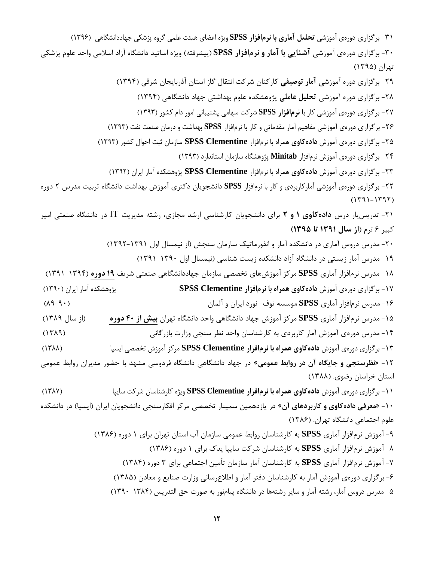-31 برگزاری دورهی آموزشی **تحلیل آماری با نرمافزار SPSS** ویژه اعضای هیئت علمی گروه پزشكی جهاددانشگاهی )1396( -30 برگزاری دورهی آموزشی **آشنایی با آمار و نرمافزار SPSS**( پیشرفته( ویژه اساتید دانشگاه آزاد اسالمی واحد علوم پزشكی تهران )1395( -29 برگزاری دوره آموزشی **آمار توصیفی** کارکنان شرکت انتقال گاز استان آذربایجان شرقی )1394( -28 برگزاری دوره آموزشی **تحلیل عاملی** پژوهشكده علوم بهداشتی جهاد دانشگاهی )1394( -27 برگزاری دورهی آموزشی کار با **نرمافزار SPSS** شرکت سهامی پشتیبانی امور دام کشور )1393( -26 برگزاری دورهی آموزشی مفاهیم آمار مقدماتی و کار با نرمافزار **SPSS** بهداشت و درمان صنعت نفت )1393( -25 برگزاری دورهی آموزش **دادهكاوی** همراه با نرمافزار **Clementine SPSS** سازمان ثبت احوال کشور )1393( -24 برگزاری دورهی آموزش نرمافزار **Minitab** پژوهشگاه سازمان استاندارد )1393( -23 برگزاری دورهی آموزش **دادهكاوی** همراه با نرمافزار **Clementine SPSS** پژوهشكده آمار ایران )1392( -22 برگزاری دورهی آموزشی آمارکاربردی و کار با نرمافزار **SPSS** دانشجویان دکتری آموزش بهداشت دانشگاه تربیت مدرس 2 دوره  $(1791 - 1797)$ -21 تدریسیار درس **دادهكاوی 1 و 2** برای دانشجویان کارشناسی ارشد مجازی، رشته مدیریت IT در دانشگاه صنعتی امیر کبیر 6 ترم )**از سال 1391 تا 1395(** -20 مدرس دروس آماری در دانشكده آمار و انفورماتیک سازمان سنجش )از نیمسال اول 1392-1391( -19 مدرس آمار زیستی در دانشگاه آزاد دانشكده زیست شناسی )نیمسال اول 1391-1390( -18 مدرس نرمافزار آماری **SPSS** مرکز آموزشهای تخصصی سازمان جهاددانشگاهی صنعتی شریف **19 دوره** )1391-1394( -17 برگزاری دورهی آموزش **دادهكاوی همراه با نرمافزار Clementine SPSS** پژوهشكده آمار ایران )1390( -16 مدرس نرمافزار آماری **SPSS** موسسه توف- نورد ایران و آلمان )89-90( -15 مدرس نرمافزار آماری **SPSS** مرکز آموزش جهاد دانشگاهی واحد دانشگاه تهران **بیش از 40 دوره** )از سال 1389( -14 مدرس دورهی آموزش آمار کاربردی به کارشناسان واحد نظر سنجی وزارت بازرگانی )1389( -13 برگزاری دورهی آموزش **دادهكاوی همراه با نرمافزار Clementine SPSS** مرکز آموزش تخصصی ایسپا )1388( -12 **»نظرسنجی و جایگاه آن در روابط عمومی**« در جهاد دانشگاهی دانشگاه فردوسی مشهد با حضور مدیران روابط عمومی استان خراسان رضوی. )1388( -11 برگزاری دورهی آموزش **دادهكاوی همراه با نرمافزار Clementine SPSS** ویژه کارشناسان شرکت سایپا )1387( -10 **»معرفی دادهكاوی و كاربردهای آن**« در یازدهمین سمینار تخصصی مرکز افكارسنجی دانشجویان ایران )ایسپا( در دانشكده علوم اجتماعی دانشگاه تهران. )1386( -9 آموزش نرمافزار آماری **SPSS** به کارشناسان روابط عمومی سازمان آب استان تهران برای 1 دوره )1386( -8 آموزش نرمافزار آماری **SPSS** به کارشناسان شرکت سایپا یدك برای 1 دوره )1386( -7 آموزش نرمافزار آماری **SPSS** به کارشناسان آمار سازمان تأمین اجتماعی برای 3 دوره )1384( -6 برگزاری دورهی آموزش آمار به کارشناسان دفتر آمار و اطالعرسانی وزارت صنایع و معادن )1385( -5 مدرس دروس آمار، رشته آمار و سایر رشتهها در دانشگاه پیامنور به صورت حق التدریس )1390-1384(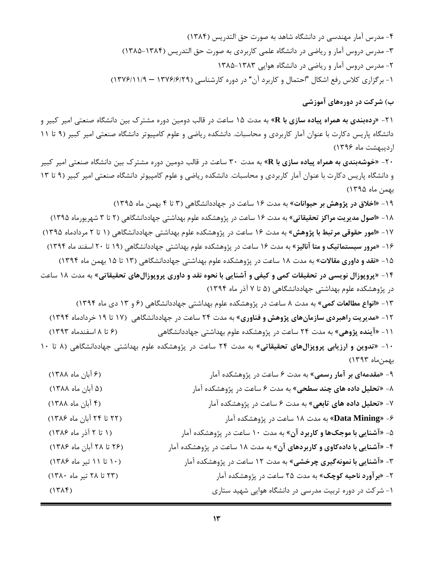-4 مدرس آمار مهندسی در دانشگاه شاهد به صورت حق التدریس )1384( -3 مدرس دروس آمار و ریاضی در دانشگاه علمی کاربردی به صورت حق التدریس )1385-1384( -2 مدرس دروس آمار و ریاضی در دانشگاه هوایی 1385-1383 -1 برگزاری کالس رفع اشكال "احتمال و کاربرد آن" در دوره کارشناسی )1376/6/29 – 1376/11/9(

**ب( شركت در دورههای آموزشی** 

-21 »**ردهبندی به همراه پیاده سازی با R** »به مدت 15 ساعت در قالب دومین دوره مشترك بین دانشگاه صنعتی امیر کبیر و دانشگاه پاریس دکارت با عنوان آمار کاربردی و محاسبات. دانشكده ریاضی و علوم کامپیوتر دانشگاه صنعتی امیر کبیر )9 تا 11 اردیبهشت ماه 1396(

-20 »**خوشهبندی به همراه پیاده سازی با R** »به مدت 30 ساعت در قالب دومین دوره مشترك بین دانشگاه صنعتی امیر کبیر و دانشگاه پاریس دکارت با عنوان آمار کاربردی و محاسبات. دانشكده ریاضی و علوم کامپیوتر دانشگاه صنعتی امیر کبیر )9 تا 13 بهمن ماه 1395(

-19 »**اخالق در پژوهش بر حیوانات**« به مدت 16 ساعت در جهاددانشگاهی )3 تا 4 بهمن ماه 1395( -18 »**اصول مدیریت مراكز تحقیقاتی**« به مدت 16 ساعت در پژوهشكده علوم بهداشتی جهاددانشگاهی )2 تا 3 شهریورماه 1395( -17 »**امور حقوقی مرتبط با پژوهش**« به مدت 16 ساعت در پژوهشكده علوم بهداشتی جهاددانشگاهی )1 تا 2 مردادماه 1395( -16 »**مرور سیستماتیك و متا آنالیز**« به مدت 16 ساعت در پژوهشكده علوم بهداشتی جهاددانشگاهی )19 تا 20 اسفند ماه 1394( -15 »**نقد و داوری مقاالت**« به مدت 18 ساعت در پژوهشكده علوم بهداشتی جهاددانشگاهی )13 تا 15 بهمن ماه 1394(

-14 »**پروپوزال نویسی در تحقیقات كمی و كیفی و آشنایی با نحوه نقد و داوری پروپوزالهای تحقیقاتی**« به مدت 18 ساعت در پژوهشكده علوم بهداشتی جهاددانشگاهی )5 تا 7 آذر ماه 1394(

-13 »**انواع مطالعات كمی**« به مدت 8 ساعت در پژوهشكده علوم بهداشتی جهاددانشگاهی )6 و 13 دی ماه 1394( -12 »**مدیریت راهبردی سازمانهای پژوهش و فناوری**« به مدت 24 ساعت در جهاددانشگاهی )17 تا 19 خردادماه 1394( -11 »**آینده پژوهی**« به مدت 24 ساعت در پژوهشكده علوم بهداشتی جهاددانشگاهی )6 تا 8 اسفندماه 1393(

-10 »**تدوین و ارزیابی پروپزالهای تحقیقاتی**« به مدت 24 ساعت در پژوهشكده علوم بهداشتی جهاددانشگاهی )8 تا 10 بهمنماه 1393(

| (۶ ابان ماه ۱۳۸۸)        | ۹- «مقدمهای بر آمار رسمی» به مدت ۶ ساعت در پژوهشکده امار                        |
|--------------------------|---------------------------------------------------------------------------------|
| (۵ آبان ماه ۱۳۸۸)        | ۸- <mark>«تحلیل داده های چند سطحی»</mark> به مدت ۶ ساعت در پژوهشکده آمار        |
| (۴ آبان ماه ۱۳۸۸)        | ۷- « <mark>تحلیل داده های تابعی</mark> » به مدت ۶ ساعت در پژوهشکده آمار         |
| (٢٢ تا ٢۴ آبان ماه ١٣٨۶) | ۶- « <mark>Data Mining»</mark> به مدت ۱۸ ساعت در پژوهشکده آمار                  |
| (١ تا ٢ آذر ماه ١٣٨۶)    | ۵- «آ <mark>شنایی با موجک۵ا و کاربرد آن»</mark> به مدت ۱۰ ساعت در پژوهشکده آمار |
| (۲۶ تا ۲۸ آبان ماه ۱۳۸۶) | ۴- «آشنایی با دادهکاوی و کاربردهای آن» به مدت ۱۸ ساعت در پژوهشکده آمار          |
| (۱۰ تا ۱۱ تیر ماه ۱۳۸۶)  | ۳- «آشنایی با نمونهگیری چرخشی» به مدت ۱۲ ساعت در پژوهشکده آمار                  |
| (٢٣ تا ٢٨ تير ماه ١٣٨٠)  | ۲- <b>«برآورد ناحیه کوچک»</b> به مدت ۲۵ ساعت در پژوهشکده آمار                   |
| $(17\lambda)$            | ۱- شرکت در دوره تربیت مدرسی در دانشگاه هوایی شهید ستاری                         |
|                          |                                                                                 |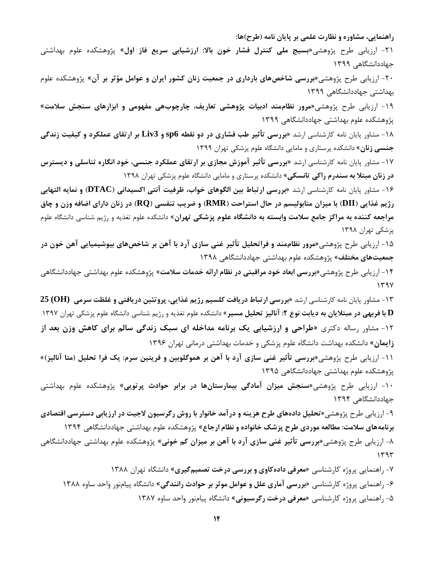**راهنمایی، مشاوره و نظارت علمی بر پایان نامه )طرح(ها:**

-21 ارزیابی طرح پژوهشی**»بسیج ملی كنترل فشار خون باال: ارزشیابی سریع فاز اول**« پژوهشكده علوم بهداشتی جهاددانشگاهی 1399

-20 ارزیابی طرح پژوهشی**»بررسی شاخصهای بارداری در جمعیت زنان كشور ایران و عوامل مؤثر بر آن**« پژوهشكده علوم بهداشتی جهاددانشگاهی 1399

-19 ارزیابی طرح پژوهشی**»مرور نظاممند ادبیات پژوهشی تعاریف، چارچوبهی مفهومی و ابزارهای سنجش سالمت**« پژوهشكده علوم بهداشتی جهاددانشگاهی 1399

-18 مشاور پایان نامه کارشناسی ارشد **»بررسی تأثیر طب فشاری در دو نقطه 6sp و 3Liv بر ارتقای عملکرد و كیفیت زندگی جنسی زنان«** دانشكده پرستاری و مامایی دانشگاه علوم پزشكی تهران 1399

-17 مشاور پایان نامه کارشناسی ارشد **»بررسی تأثیر آموزش مجازی بر ارتقای عملکرد جنسی، خود انگاره تناسلی و دیسترس در زنان مبتال به سندرم راكی تانسکی«** دانشكده پرستاری و مامایی دانشگاه علوم پزشكی تهران 1398

-16 مشاور پایان نامه کارشناسی ارشد **»بررسی ارتباط بین الگوهای خواب، ظرفیت آنتی اكسیدانی )DTAC )و نمایه التهابی رژیم غذایی )DII )با میزان متابولیسم در حال استراحت )RMR )و ضریب تنفسی )RQ )در زنان دارای اضافه وزن و چاق مراجعه كننده به مراكز جامع سالمت وابسته به دانشگاه علوم پزشکی تهران«** دانشكده علوم تغذیه و رژیم شناسی دانشگاه علوم پزشكی تهران 1398

-15 ارزیابی طرح پژوهشی**»مرور نظاممند و فراتحلیل تأثیر غنی سازی آرد با آهن بر شاخصهای بیوشیمیایی آهن خون در جمعیتهای مختلف«** پژوهشكده علوم بهداشتی جهاددانشگاهی 1398

-14 ارزیابی طرح پژوهشی**»بررسی ابعاد خود مراقبتی در نظام ارائه خدمات سالمت«** پژوهشكده علوم بهداشتی جهاددانشگاهی  $1497$ 

-13 مشاور پایان نامه کارشناسی ارشد **»بررسی ارتباط دریافت كلسیم رژیم غذایی، پروتئین دریافتی و غلظت سرمی (OH (25 D با فربهی در مبتالیان به دیابت نوع :2 آنالیز تحلیل مسیر«** دانشكده علوم تغذیه و رژیم شناسی دانشگاه علوم پزشكی تهران 1397 -12 مشاور رساله دکتری **»طراحی و ارزشیابی یك برنامه مداخله ای سبك زندگی سالم برای كاهش وزن بعد از زایمان«** دانشكده بهداشت دانشگاه علوم پزشكی و خدمات بهداشتی درمانی تهران 1396

-11 ارزیابی طرح پژوهشی**»بررسی تأثیر غنی سازی آرد با آهن بر هموگلوبین و فریتین سرم: یك فرا تحلیل )متا آنالیز(«** پژوهشكده علوم بهداشتی جهاددانشگاهی 1395

-10 ارزیابی طرح پژوهشی**»سنجش میزان آمادگی بیمارستانها در برابر حوادث پرتویی**« پژوهشكده علوم بهداشتی جهاددانشگاهی 1394

-9 ارزیابی طرح پژوهشی**»تحلیل دادههای طرح هزینه و درآمد خانوار با روش رگرسیون الجیت در ارزیابی دسترسی اقتصادی برنامههای سالمت: مطالعه موردی طرح پزشك خانواده و نظام ارجاع**« پژوهشكده علوم بهداشتی جهاددانشگاهی 1394 -8 ارزیابی طرح پژوهشی**»بررسی تأثیر غنی سازی آرد با آهن بر میزان كم خونی**« پژوهشكده علوم بهداشتی جهاددانشگاهی  $1495$ 

-7 راهنمایی پروژه کارشناسی **»معرفی دادهكاوی و بررسی درخت تصمیمگیری**« دانشگاه تهران 1388 -6 راهنمایی پروژه کارشناسی **»بررسی آماری علل و عوامل موثر بر حوادث رانندگی**« دانشگاه پیامنور واحد ساوه 1388 -5 راهنمایی پروژه کارشناسی **»معرفی درخت رگرسیونی**« دانشگاه پیامنور واحد ساوه 1387